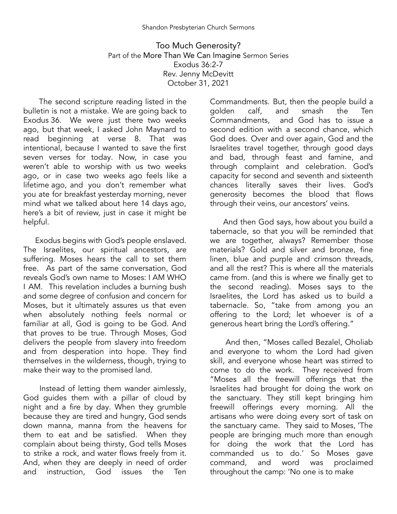Too Much Generosity? Part of the More Than We Can Imagine Sermon Series Exodus 36:2-7 Rev. Jenny McDevitt October 31, 2021

The second scripture reading listed in the bulletin is not a mistake. We are going back to Exodus 36. We were just there two weeks ago, but that week, I asked John Maynard to read beginning at verse 8. That was intentional, because I wanted to save the first seven verses for today. Now, in case you weren't able to worship with us two weeks ago, or in case two weeks ago feels like a lifetime ago, and you don't remember what you ate for breakfast yesterday morning, never mind what we talked about here 14 days ago, here's a bit of review, just in case it might be helpful.

Exodus begins with God's people enslaved. The Israelites, our spiritual ancestors, are suffering. Moses hears the call to set them free. As part of the same conversation, God reveals God's own name to Moses: I AM WHO I AM. This revelation includes a burning bush and some degree of confusion and concern for Moses, but it ultimately assures us that even when absolutely nothing feels normal or familiar at all, God is going to be God. And that proves to be true. Through Moses, God delivers the people from slavery into freedom and from desperation into hope. They find themselves in the wilderness, though, trying to make their way to the promised land.

Instead of letting them wander aimlessly, God guides them with a pillar of cloud by night and a fire by day. When they grumble because they are tired and hungry, God sends down manna, manna from the heavens for them to eat and be satisfied. When they complain about being thirsty, God tells Moses to strike a rock, and water flows freely from it. And, when they are deeply in need of order and instruction, God issues the Ten

Commandments. But, then the people build a golden calf, and smash the Ten<br>Commandments, and God has to issue a and God has to issue a second edition with a second chance, which God does. Over and over again, God and the Israelites travel together, through good days and bad, through feast and famine, and through complaint and celebration. God's capacity for second and seventh and sixteenth chances literally saves their lives. God's generosity becomes the blood that flows through their veins, our ancestors' veins.

And then God says, how about you build a tabernacle, so that you will be reminded that we are together, always? Remember those materials? Gold and silver and bronze, fine linen, blue and purple and crimson threads, and all the rest? This is where all the materials came from. (and this is where we finally get to the second reading). Moses says to the Israelites, the Lord has asked us to build a tabernacle. So, "take from among you an offering to the Lord; let whoever is of a generous heart bring the Lord's offering."

And then, "Moses called Bezalel, Oholiab and everyone to whom the Lord had given skill, and everyone whose heart was stirred to come to do the work. They received from "Moses all the freewill offerings that the Israelites had brought for doing the work on the sanctuary. They still kept bringing him freewill offerings every morning. All the artisans who were doing every sort of task on the sanctuary came. They said to Moses, 'The people are bringing much more than enough for doing the work that the Lord has commanded us to do.' So Moses gave command, and word was throughout the camp: 'No one is to make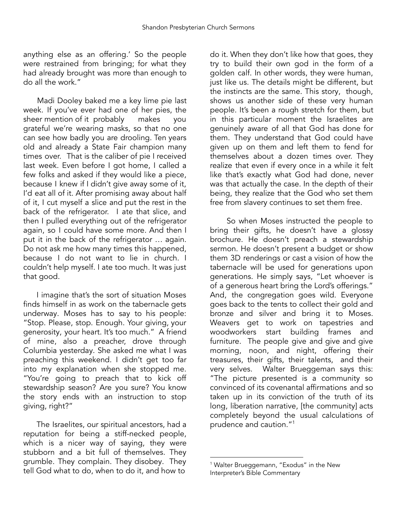anything else as an offering.' So the people were restrained from bringing; for what they had already brought was more than enough to do all the work."

Madi Dooley baked me a key lime pie last week. If you've ever had one of her pies, the<br>sheer mention of it probably makes vou sheer mention of it probably makes you grateful we're wearing masks, so that no one can see how badly you are drooling. Ten years old and already a State Fair champion many times over. That is the caliber of pie I received last week. Even before I got home, I called a few folks and asked if they would like a piece, because I knew if I didn't give away some of it, I'd eat all of it. After promising away about half of it, I cut myself a slice and put the rest in the back of the refrigerator. I ate that slice, and then I pulled everything out of the refrigerator again, so I could have some more. And then I put it in the back of the refrigerator … again. Do not ask me how many times this happened, because I do not want to lie in church. I couldn't help myself. I ate too much. It was just that good.

I imagine that's the sort of situation Moses finds himself in as work on the tabernacle gets underway. Moses has to say to his people: "Stop. Please, stop. Enough. Your giving, your generosity, your heart. It's too much." A friend of mine, also a preacher, drove through Columbia yesterday. She asked me what I was preaching this weekend. I didn't get too far into my explanation when she stopped me. "You're going to preach that to kick off stewardship season? Are you sure? You know the story ends with an instruction to stop giving, right?"

The Israelites, our spiritual ancestors, had a reputation for being a stiff-necked people, which is a nicer way of saying, they were stubborn and a bit full of themselves. They grumble. They complain. They disobey. They tell God what to do, when to do it, and how to

do it. When they don't like how that goes, they try to build their own god in the form of a golden calf. In other words, they were human, just like us. The details might be different, but the instincts are the same. This story, though, shows us another side of these very human people. It's been a rough stretch for them, but in this particular moment the Israelites are genuinely aware of all that God has done for them. They understand that God could have given up on them and left them to fend for themselves about a dozen times over. They realize that even if every once in a while it felt like that's exactly what God had done, never was that actually the case. In the depth of their being, they realize that the God who set them free from slavery continues to set them free.

So when Moses instructed the people to bring their gifts, he doesn't have a glossy brochure. He doesn't preach a stewardship sermon. He doesn't present a budget or show them 3D renderings or cast a vision of how the tabernacle will be used for generations upon generations. He simply says, "Let whoever is of a generous heart bring the Lord's offerings." And, the congregation goes wild. Everyone goes back to the tents to collect their gold and bronze and silver and bring it to Moses. Weavers get to work on tapestries and woodworkers start building frames and furniture. The people give and give and give morning, noon, and night, offering their treasures, their gifts, their talents, and their very selves. Walter Brueggeman says this: "The picture presented is a community so convinced of its covenantal affirmations and so taken up in its conviction of the truth of its long, liberation narrative, [the community] acts completely beyond the usual calculations of prudence and caution." 1

<sup>&</sup>lt;sup>1</sup> Walter Brueggemann, "Exodus" in the New Interpreter's Bible Commentary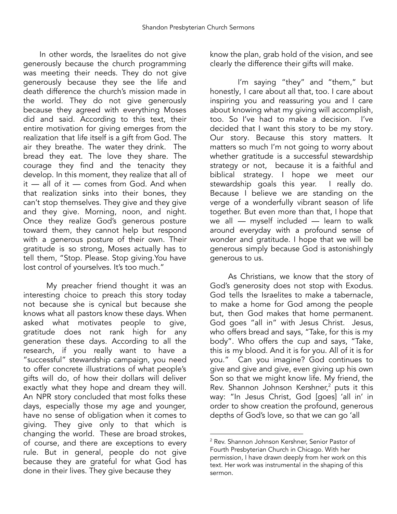In other words, the Israelites do not give generously because the church programming was meeting their needs. They do not give generously because they see the life and death difference the church's mission made in the world. They do not give generously because they agreed with everything Moses did and said. According to this text, their entire motivation for giving emerges from the realization that life itself is a gift from God. The air they breathe. The water they drink. The bread they eat. The love they share. The courage they find and the tenacity they develop. In this moment, they realize that all of it — all of it — comes from God. And when that realization sinks into their bones, they can't stop themselves. They give and they give and they give. Morning, noon, and night. Once they realize God's generous posture toward them, they cannot help but respond with a generous posture of their own. Their gratitude is so strong, Moses actually has to tell them, "Stop. Please. Stop giving.You have lost control of yourselves. It's too much."

My preacher friend thought it was an interesting choice to preach this story today not because she is cynical but because she knows what all pastors know these days. When asked what motivates people to give, gratitude does not rank high for any generation these days. According to all the research, if you really want to have a "successful" stewardship campaign, you need to offer concrete illustrations of what people's gifts will do, of how their dollars will deliver exactly what they hope and dream they will. An NPR story concluded that most folks these days, especially those my age and younger, have no sense of obligation when it comes to giving. They give only to that which is changing the world. These are broad strokes, of course, and there are exceptions to every rule. But in general, people do not give because they are grateful for what God has done in their lives. They give because they

know the plan, grab hold of the vision, and see clearly the difference their gifts will make.

I'm saying "they" and "them," but honestly, I care about all that, too. I care about inspiring you and reassuring you and I care about knowing what my giving will accomplish, too. So I've had to make a decision. I've decided that I want this story to be my story. Our story. Because this story matters. It matters so much I'm not going to worry about whether gratitude is a successful stewardship strategy or not, because it is a faithful and biblical strategy. I hope we meet our stewardship goals this year. I really do. Because I believe we are standing on the verge of a wonderfully vibrant season of life together. But even more than that, I hope that we all — myself included — learn to walk around everyday with a profound sense of wonder and gratitude. I hope that we will be generous simply because God is astonishingly generous to us.

As Christians, we know that the story of God's generosity does not stop with Exodus. God tells the Israelites to make a tabernacle, to make a home for God among the people but, then God makes that home permanent. God goes "all in" with Jesus Christ. Jesus, who offers bread and says, "Take, for this is my body". Who offers the cup and says, "Take, this is my blood. And it is for you. All of it is for you." Can you imagine? God continues to give and give and give, even giving up his own Son so that we might know life. My friend, the Rev. Shannon Johnson Kershner,<sup>2</sup> puts it this way: "In Jesus Christ, God [goes] 'all in' in order to show creation the profound, generous depths of God's love, so that we can go 'all

<sup>2</sup> Rev. Shannon Johnson Kershner, Senior Pastor of Fourth Presbyterian Church in Chicago. With her permission, I have drawn deeply from her work on this text. Her work was instrumental in the shaping of this sermon.